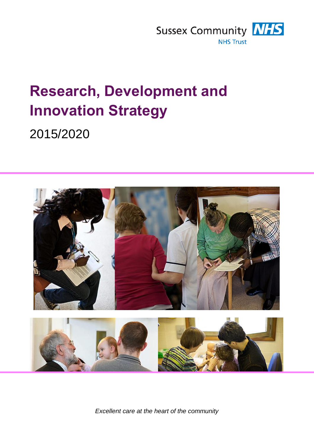

# **Research, Development and Innovation Strategy**

2015/2020



*Excellent care at the heart of the community*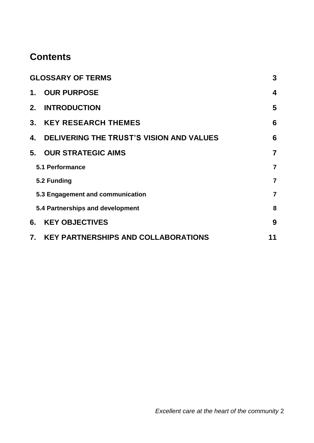## **Contents**

| <b>GLOSSARY OF TERMS</b>         |                                          | 3                       |
|----------------------------------|------------------------------------------|-------------------------|
| 1.                               | <b>OUR PURPOSE</b>                       | $\overline{\mathbf{4}}$ |
| 2.                               | <b>INTRODUCTION</b>                      | 5                       |
|                                  | 3. KEY RESEARCH THEMES                   | 6                       |
| 4.                               | DELIVERING THE TRUST'S VISION AND VALUES | 6                       |
| 5.                               | <b>OUR STRATEGIC AIMS</b>                | $\overline{7}$          |
| 5.1 Performance                  |                                          | $\overline{7}$          |
| 5.2 Funding                      |                                          | $\overline{7}$          |
| 5.3 Engagement and communication |                                          | $\overline{7}$          |
|                                  | 5.4 Partnerships and development         | 8                       |
| 6.                               | <b>KEY OBJECTIVES</b>                    | 9                       |
|                                  | 7. KEY PARTNERSHIPS AND COLLABORATIONS   | 11                      |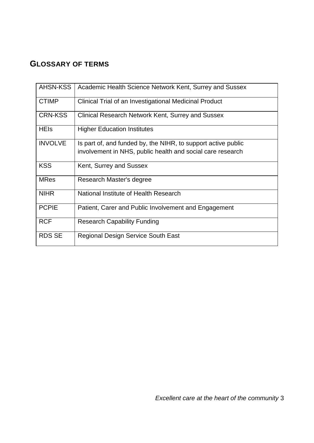#### <span id="page-2-0"></span>**GLOSSARY OF TERMS**

| <b>AHSN-KSS</b> | Academic Health Science Network Kent, Surrey and Sussex       |
|-----------------|---------------------------------------------------------------|
| <b>CTIMP</b>    | Clinical Trial of an Investigational Medicinal Product        |
| <b>CRN-KSS</b>  | Clinical Research Network Kent, Surrey and Sussex             |
| <b>HEIs</b>     | <b>Higher Education Institutes</b>                            |
| <b>INVOLVE</b>  | Is part of, and funded by, the NIHR, to support active public |
|                 | involvement in NHS, public health and social care research    |
| <b>KSS</b>      | Kent, Surrey and Sussex                                       |
| <b>MRes</b>     | Research Master's degree                                      |
| <b>NIHR</b>     | National Institute of Health Research                         |
| <b>PCPIE</b>    | Patient, Carer and Public Involvement and Engagement          |
| <b>RCF</b>      | <b>Research Capability Funding</b>                            |
| <b>RDS SE</b>   | <b>Regional Design Service South East</b>                     |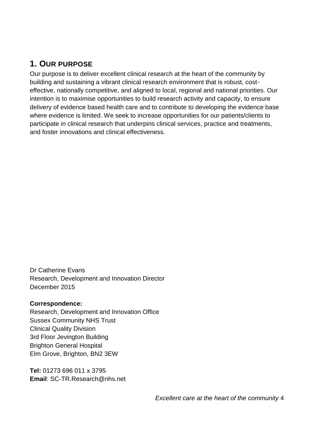## <span id="page-3-0"></span>**1. OUR PURPOSE**

Our purpose is to deliver excellent clinical research at the heart of the community by building and sustaining a vibrant clinical research environment that is robust, costeffective, nationally competitive, and aligned to local, regional and national priorities. Our intention is to maximise opportunities to build research activity and capacity, to ensure delivery of evidence based health care and to contribute to developing the evidence base where evidence is limited. We seek to increase opportunities for our patients/clients to participate in clinical research that underpins clinical services, practice and treatments, and foster innovations and clinical effectiveness.

Dr Catherine Evans Research, Development and Innovation Director December 2015

#### **Correspondence:**

Research, Development and Innovation Office Sussex Community NHS Trust Clinical Quality Division 3rd Floor Jevington Building Brighton General Hospital Elm Grove, Brighton, BN2 3EW

**Tel:** 01273 696 011 x 3795 **Email**: SC-TR.Research@nhs.net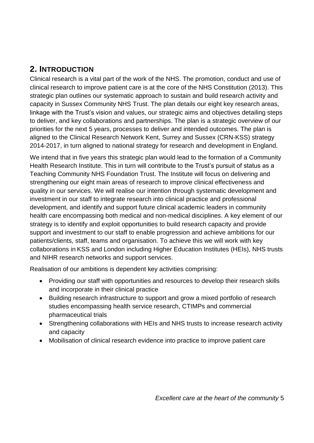## <span id="page-4-0"></span>**2. INTRODUCTION**

Clinical research is a vital part of the work of the NHS. The promotion, conduct and use of clinical research to improve patient care is at the core of the NHS Constitution (2013). This strategic plan outlines our systematic approach to sustain and build research activity and capacity in Sussex Community NHS Trust. The plan details our eight key research areas, linkage with the Trust's vision and values, our strategic aims and objectives detailing steps to deliver, and key collaborations and partnerships. The plan is a strategic overview of our priorities for the next 5 years, processes to deliver and intended outcomes. The plan is aligned to the Clinical Research Network Kent, Surrey and Sussex (CRN-KSS) strategy 2014-2017, in turn aligned to national strategy for research and development in England.

We intend that in five years this strategic plan would lead to the formation of a Community Health Research Institute. This in turn will contribute to the Trust's pursuit of status as a Teaching Community NHS Foundation Trust. The Institute will focus on delivering and strengthening our eight main areas of research to improve clinical effectiveness and quality in our services. We will realise our intention through systematic development and investment in our staff to integrate research into clinical practice and professional development, and identify and support future clinical academic leaders in community health care encompassing both medical and non-medical disciplines. A key element of our strategy is to identify and exploit opportunities to build research capacity and provide support and investment to our staff to enable progression and achieve ambitions for our patients/clients, staff, teams and organisation. To achieve this we will work with key collaborations in KSS and London including Higher Education Institutes (HEIs), NHS trusts and NIHR research networks and support services.

Realisation of our ambitions is dependent key activities comprising:

- Providing our staff with opportunities and resources to develop their research skills and incorporate in their clinical practice
- Building research infrastructure to support and grow a mixed portfolio of research studies encompassing health service research, CTIMPs and commercial pharmaceutical trials
- Strengthening collaborations with HEIs and NHS trusts to increase research activity and capacity
- Mobilisation of clinical research evidence into practice to improve patient care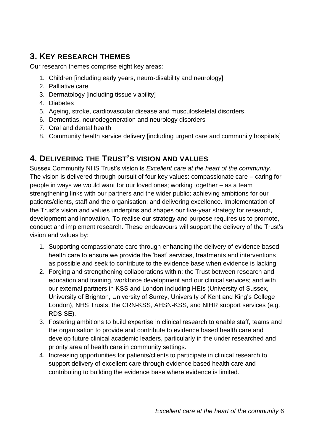## <span id="page-5-0"></span>**3. KEY RESEARCH THEMES**

Our research themes comprise eight key areas:

- 1. Children [including early years, neuro-disability and neurology]
- 2. Palliative care
- 3. Dermatology [including tissue viability]
- 4. Diabetes
- 5. Ageing, stroke, cardiovascular disease and musculoskeletal disorders.
- 6. Dementias, neurodegeneration and neurology disorders
- 7. Oral and dental health
- 8. Community health service delivery [including urgent care and community hospitals]

#### <span id="page-5-1"></span>**4. DELIVERING THE TRUST'S VISION AND VALUES**

Sussex Community NHS Trust's vision is *Excellent care at the heart of the community.*  The vision is delivered through pursuit of four key values: compassionate care – caring for people in ways we would want for our loved ones; working together – as a team strengthening links with our partners and the wider public; achieving ambitions for our patients/clients, staff and the organisation; and delivering excellence. Implementation of the Trust's vision and values underpins and shapes our five-year strategy for research, development and innovation. To realise our strategy and purpose requires us to promote, conduct and implement research. These endeavours will support the delivery of the Trust's vision and values by:

- 1. Supporting compassionate care through enhancing the delivery of evidence based health care to ensure we provide the 'best' services, treatments and interventions as possible and seek to contribute to the evidence base when evidence is lacking.
- 2. Forging and strengthening collaborations within: the Trust between research and education and training, workforce development and our clinical services; and with our external partners in KSS and London including HEIs (University of Sussex, University of Brighton, University of Surrey, University of Kent and King's College London), NHS Trusts, the CRN-KSS, AHSN-KSS, and NIHR support services (e.g. RDS SE).
- 3. Fostering ambitions to build expertise in clinical research to enable staff, teams and the organisation to provide and contribute to evidence based health care and develop future clinical academic leaders, particularly in the under researched and priority area of health care in community settings.
- 4. Increasing opportunities for patients/clients to participate in clinical research to support delivery of excellent care through evidence based health care and contributing to building the evidence base where evidence is limited.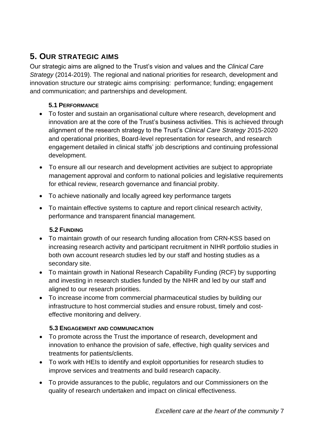## <span id="page-6-0"></span>**5. OUR STRATEGIC AIMS**

Our strategic aims are aligned to the Trust's vision and values and the *Clinical Care Strategy* (2014-2019). The regional and national priorities for research, development and innovation structure our strategic aims comprising: performance; funding; engagement and communication; and partnerships and development.

#### **5.1 PERFORMANCE**

- <span id="page-6-1"></span> To foster and sustain an organisational culture where research, development and innovation are at the core of the Trust's business activities. This is achieved through alignment of the research strategy to the Trust's *Clinical Care Strategy* 2015-2020 and operational priorities, Board-level representation for research, and research engagement detailed in clinical staffs' job descriptions and continuing professional development.
- To ensure all our research and development activities are subject to appropriate management approval and conform to national policies and legislative requirements for ethical review, research governance and financial probity.
- To achieve nationally and locally agreed key performance targets
- To maintain effective systems to capture and report clinical research activity, performance and transparent financial management.

#### **5.2 FUNDING**

- <span id="page-6-2"></span>• To maintain growth of our research funding allocation from CRN-KSS based on increasing research activity and participant recruitment in NIHR portfolio studies in both own account research studies led by our staff and hosting studies as a secondary site.
- To maintain growth in National Research Capability Funding (RCF) by supporting and investing in research studies funded by the NIHR and led by our staff and aligned to our research priorities.
- To increase income from commercial pharmaceutical studies by building our infrastructure to host commercial studies and ensure robust, timely and costeffective monitoring and delivery.

#### **5.3 ENGAGEMENT AND COMMUNICATION**

- <span id="page-6-3"></span> To promote across the Trust the importance of research, development and innovation to enhance the provision of safe, effective, high quality services and treatments for patients/clients.
- To work with HEIs to identify and exploit opportunities for research studies to improve services and treatments and build research capacity.
- To provide assurances to the public, regulators and our Commissioners on the quality of research undertaken and impact on clinical effectiveness.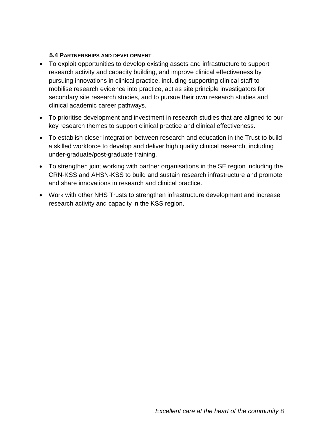#### **5.4 PARTNERSHIPS AND DEVELOPMENT**

- <span id="page-7-0"></span> To exploit opportunities to develop existing assets and infrastructure to support research activity and capacity building, and improve clinical effectiveness by pursuing innovations in clinical practice, including supporting clinical staff to mobilise research evidence into practice, act as site principle investigators for secondary site research studies, and to pursue their own research studies and clinical academic career pathways.
- To prioritise development and investment in research studies that are aligned to our key research themes to support clinical practice and clinical effectiveness.
- To establish closer integration between research and education in the Trust to build a skilled workforce to develop and deliver high quality clinical research, including under-graduate/post-graduate training.
- To strengthen joint working with partner organisations in the SE region including the CRN-KSS and AHSN-KSS to build and sustain research infrastructure and promote and share innovations in research and clinical practice.
- Work with other NHS Trusts to strengthen infrastructure development and increase research activity and capacity in the KSS region.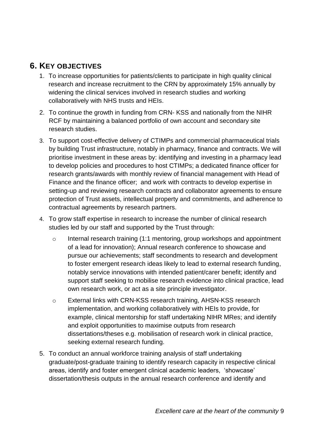#### <span id="page-8-0"></span>**6. KEY OBJECTIVES**

- 1. To increase opportunities for patients/clients to participate in high quality clinical research and increase recruitment to the CRN by approximately 15% annually by widening the clinical services involved in research studies and working collaboratively with NHS trusts and HEIs.
- 2. To continue the growth in funding from CRN- KSS and nationally from the NIHR RCF by maintaining a balanced portfolio of own account and secondary site research studies.
- 3. To support cost-effective delivery of CTIMPs and commercial pharmaceutical trials by building Trust infrastructure, notably in pharmacy, finance and contracts. We will prioritise investment in these areas by: identifying and investing in a pharmacy lead to develop policies and procedures to host CTIMPs; a dedicated finance officer for research grants/awards with monthly review of financial management with Head of Finance and the finance officer; and work with contracts to develop expertise in setting-up and reviewing research contracts and collaborator agreements to ensure protection of Trust assets, intellectual property and commitments, and adherence to contractual agreements by research partners.
- 4. To grow staff expertise in research to increase the number of clinical research studies led by our staff and supported by the Trust through:
	- o Internal research training (1:1 mentoring, group workshops and appointment of a lead for innovation); Annual research conference to showcase and pursue our achievements; staff secondments to research and development to foster emergent research ideas likely to lead to external research funding, notably service innovations with intended patient/carer benefit; identify and support staff seeking to mobilise research evidence into clinical practice, lead own research work, or act as a site principle investigator.
	- o External links with CRN-KSS research training, AHSN-KSS research implementation, and working collaboratively with HEIs to provide, for example, clinical mentorship for staff undertaking NIHR MRes; and identify and exploit opportunities to maximise outputs from research dissertations/theses e.g. mobilisation of research work in clinical practice, seeking external research funding.
- 5. To conduct an annual workforce training analysis of staff undertaking graduate/post-graduate training to identify research capacity in respective clinical areas, identify and foster emergent clinical academic leaders, 'showcase' dissertation/thesis outputs in the annual research conference and identify and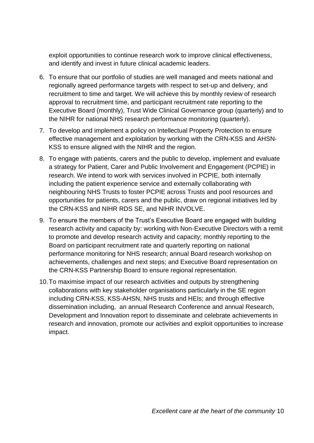exploit opportunities to continue research work to improve clinical effectiveness, and identify and invest in future clinical academic leaders.

- 6. To ensure that our portfolio of studies are well managed and meets national and regionally agreed performance targets with respect to set-up and delivery, and recruitment to time and target. We will achieve this by monthly review of research approval to recruitment time, and participant recruitment rate reporting to the Executive Board (monthly), Trust Wide Clinical Governance group (quarterly) and to the NIHR for national NHS research performance monitoring (quarterly).
- 7. To develop and implement a policy on Intellectual Property Protection to ensure effective management and exploitation by working with the CRN-KSS and AHSN-KSS to ensure aligned with the NIHR and the region.
- 8. To engage with patients, carers and the public to develop, implement and evaluate a strategy for Patient, Carer and Public Involvement and Engagement (PCPIE) in research. We intend to work with services involved in PCPIE, both internally including the patient experience service and externally collaborating with neighbouring NHS Trusts to foster PCPIE across Trusts and pool resources and opportunities for patients, carers and the public, draw on regional initiatives led by the CRN-KSS and NIHR RDS SE, and NIHR INVOLVE.
- 9. To ensure the members of the Trust's Executive Board are engaged with building research activity and capacity by: working with Non-Executive Directors with a remit to promote and develop research activity and capacity; monthly reporting to the Board on participant recruitment rate and quarterly reporting on national performance monitoring for NHS research; annual Board research workshop on achievements, challenges and next steps; and Executive Board representation on the CRN-KSS Partnership Board to ensure regional representation.
- 10.To maximise impact of our research activities and outputs by strengthening collaborations with key stakeholder organisations particularly in the SE region including CRN-KSS, KSS-AHSN, NHS trusts and HEIs; and through effective dissemination including, an annual Research Conference and annual Research, Development and Innovation report to disseminate and celebrate achievements in research and innovation, promote our activities and exploit opportunities to increase impact.